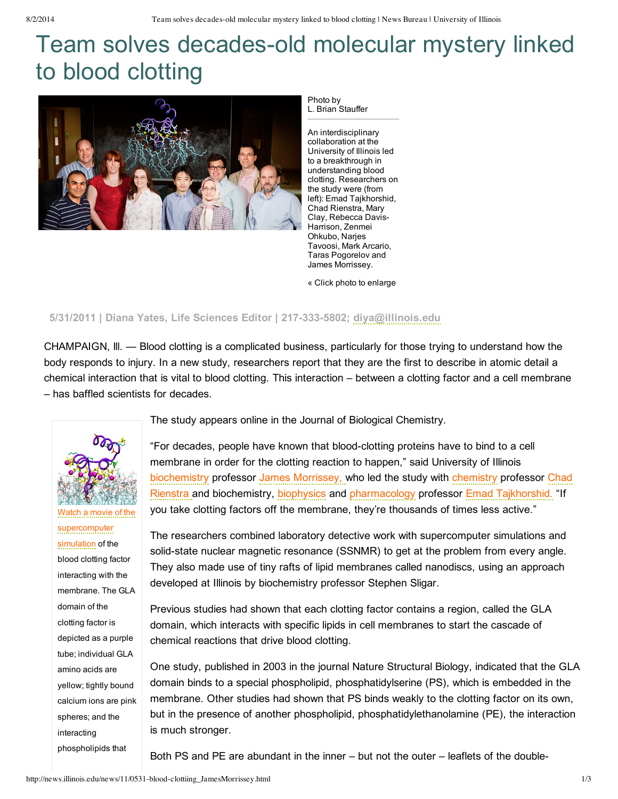## Team solves decades-old molecular mystery linked to blood clotting



Photo by L. Brian Stauffer

An interdisciplinary collaboration at the University of Illinois led to a breakthrough in understanding blood clotting. Researchers on the study were (from left): Emad Tajkhorshid, Chad Rienstra, Mary Clay, Rebecca Davis-Harrison, Zenmei Ohkubo, Narjes Tavoosi, Mark Arcario, Taras Pogorelov and James Morrissey.

« Click photo to enlarge

## **5/31/2011 | Diana Yates, Life Sciences Editor | 2173335802; [diya@illinois.edu](mailto:diya@illinois.edu)**

CHAMPAIGN, lll. — Blood clotting is a complicated business, particularly for those trying to understand how the body responds to injury. In a new study, researchers report that they are the first to describe in atomic detail a chemical interaction that is vital to blood clotting. This interaction – between a clotting factor and a cell membrane – has baffled scientists for decades.



Watch a movie of the [supercomputer](http://www.youtube.com/watch?v=o-Hck-ldzDo) simulation of the blood clotting factor interacting with the membrane. The GLA domain of the clotting factor is depicted as a purple tube; individual GLA amino acids are yellow; tightly bound calcium ions are pink spheres; and the interacting phospholipids that

The study appears online in the Journal of Biological Chemistry.

"For decades, people have known that blood-clotting proteins have to bind to a cell membrane in order for the clotting reaction to happen," said University of Illinois [biochemistry](http://mcb.illinois.edu/departments/biochemistry/index.html) professor James [Morrissey,](http://mcb.illinois.edu/faculty/profile/jhmorris) who led the study with [chemistry](http://chemistry.illinois.edu/) professor Chad Rienstra and biochemistry, [biophysics](http://www.life.illinois.edu/biophysics/) and [pharmacology](http://www.scs.illinois.edu/rienstra/) professor Emad [Tajkhorshid.](http://www.beckman.illinois.edu/directory/tajkhors) "If you take clotting factors off the membrane, they're thousands of times less active."

The researchers combined laboratory detective work with supercomputer simulations and solid-state nuclear magnetic resonance (SSNMR) to get at the problem from every angle. They also made use of tiny rafts of lipid membranes called nanodiscs, using an approach developed at Illinois by biochemistry professor Stephen Sligar.

Previous studies had shown that each clotting factor contains a region, called the GLA domain, which interacts with specific lipids in cell membranes to start the cascade of chemical reactions that drive blood clotting.

One study, published in 2003 in the journal Nature Structural Biology, indicated that the GLA domain binds to a special phospholipid, phosphatidylserine (PS), which is embedded in the membrane. Other studies had shown that PS binds weakly to the clotting factor on its own, but in the presence of another phospholipid, phosphatidylethanolamine (PE), the interaction is much stronger.

Both PS and PE are abundant in the inner – but not the outer – leaflets of the double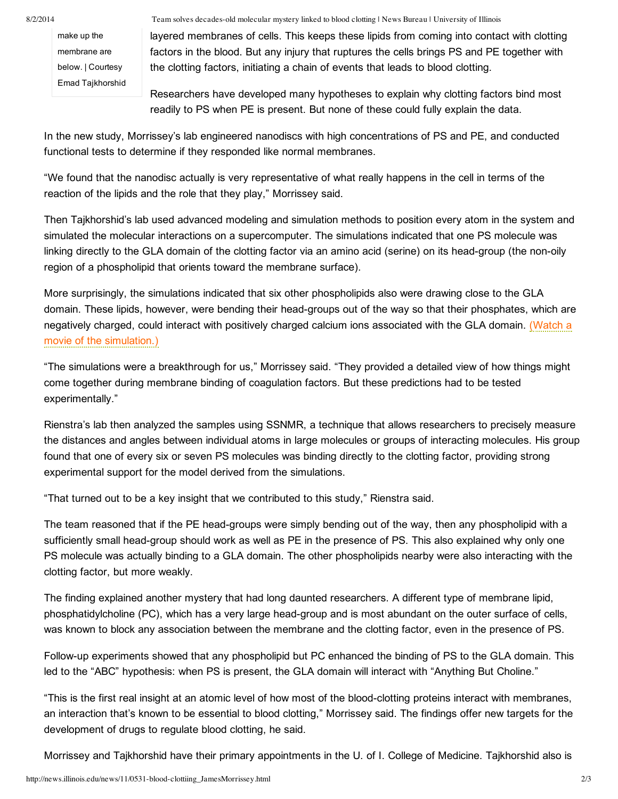make up the membrane are below. | Courtesy Emad Tajkhorshid

8/2/2014 Team solves decades-old molecular mystery linked to blood clotting | News Bureau | University of Illinois

layered membranes of cells. This keeps these lipids from coming into contact with clotting factors in the blood. But any injury that ruptures the cells brings PS and PE together with the clotting factors, initiating a chain of events that leads to blood clotting.

Researchers have developed many hypotheses to explain why clotting factors bind most readily to PS when PE is present. But none of these could fully explain the data.

In the new study, Morrissey's lab engineered nanodiscs with high concentrations of PS and PE, and conducted functional tests to determine if they responded like normal membranes.

"We found that the nanodisc actually is very representative of what really happens in the cell in terms of the reaction of the lipids and the role that they play," Morrissey said.

Then Tajkhorshid's lab used advanced modeling and simulation methods to position every atom in the system and simulated the molecular interactions on a supercomputer. The simulations indicated that one PS molecule was linking directly to the GLA domain of the clotting factor via an amino acid (serine) on its head-group (the non-oily region of a phospholipid that orients toward the membrane surface).

More surprisingly, the simulations indicated that six other phospholipids also were drawing close to the GLA domain. These lipids, however, were bending their head-groups out of the way so that their phosphates, which are negatively charged, could interact with positively charged calcium ions associated with the GLA domain. (Watch a movie of the [simulation.\)](http://www.youtube.com/watch?v=o-Hck-ldzDo)

"The simulations were a breakthrough for us," Morrissey said. "They provided a detailed view of how things might come together during membrane binding of coagulation factors. But these predictions had to be tested experimentally."

Rienstra's lab then analyzed the samples using SSNMR, a technique that allows researchers to precisely measure the distances and angles between individual atoms in large molecules or groups of interacting molecules. His group found that one of every six or seven PS molecules was binding directly to the clotting factor, providing strong experimental support for the model derived from the simulations.

"That turned out to be a key insight that we contributed to this study," Rienstra said.

The team reasoned that if the PE head-groups were simply bending out of the way, then any phospholipid with a sufficiently small head-group should work as well as PE in the presence of PS. This also explained why only one PS molecule was actually binding to a GLA domain. The other phospholipids nearby were also interacting with the clotting factor, but more weakly.

The finding explained another mystery that had long daunted researchers. A different type of membrane lipid, phosphatidylcholine (PC), which has a very large head-group and is most abundant on the outer surface of cells, was known to block any association between the membrane and the clotting factor, even in the presence of PS.

Follow-up experiments showed that any phospholipid but PC enhanced the binding of PS to the GLA domain. This led to the "ABC" hypothesis: when PS is present, the GLA domain will interact with "Anything But Choline."

"This is the first real insight at an atomic level of how most of the blood-clotting proteins interact with membranes, an interaction that's known to be essential to blood clotting," Morrissey said. The findings offer new targets for the development of drugs to regulate blood clotting, he said.

Morrissey and Tajkhorshid have their primary appointments in the U. of I. College of Medicine. Tajkhorshid also is